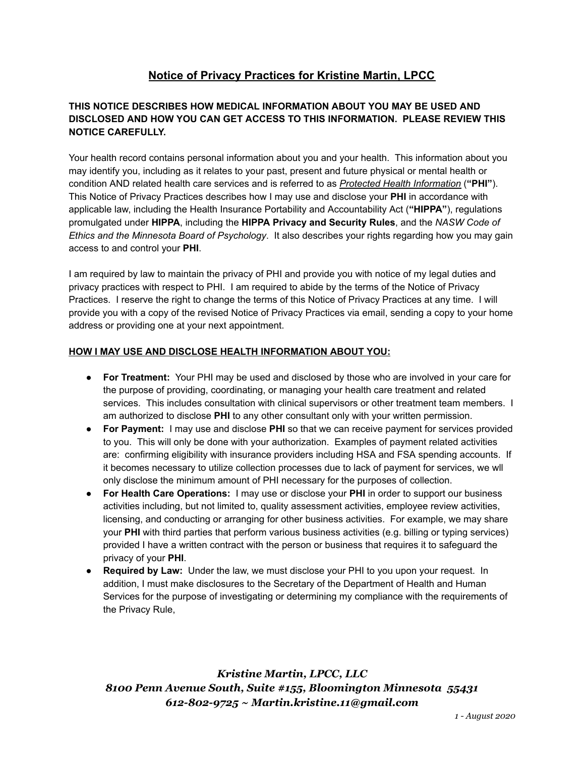# **Notice of Privacy Practices for Kristine Martin, LPCC**

## **THIS NOTICE DESCRIBES HOW MEDICAL INFORMATION ABOUT YOU MAY BE USED AND DISCLOSED AND HOW YOU CAN GET ACCESS TO THIS INFORMATION. PLEASE REVIEW THIS NOTICE CAREFULLY.**

Your health record contains personal information about you and your health. This information about you may identify you, including as it relates to your past, present and future physical or mental health or condition AND related health care services and is referred to as *Protected Health Information* ( **"PHI"** ). This Notice of Privacy Practices describes how I may use and disclose your **PHI** in accordance with applicable law, including the Health Insurance Portability and Accountability Act ( **"HIPPA"** ), regulations promulgated under **HIPPA** , including the **HIPPA Privacy and Security Rules** , and the *NASW Code of Ethics and the Minnesota Board of Psychology* . It also describes your rights regarding how you may gain access to and control your **PHI** .

I am required by law to maintain the privacy of PHI and provide you with notice of my legal duties and privacy practices with respect to PHI. I am required to abide by the terms of the Notice of Privacy Practices. I reserve the right to change the terms of this Notice of Privacy Practices at any time. I will provide you with a copy of the revised Notice of Privacy Practices via email, sending a copy to your home address or providing one at your next appointment.

#### **HOW I MAY USE AND DISCLOSE HEALTH INFORMATION ABOUT YOU:**

- **For Treatment:** Your PHI may be used and disclosed by those who are involved in your care for the purpose of providing, coordinating, or managing your health care treatment and related services. This includes consultation with clinical supervisors or other treatment team members. I am authorized to disclose **PHI** to any other consultant only with your written permission.
- **For Payment:** I may use and disclose **PHI** so that we can receive payment for services provided to you. This will only be done with your authorization. Examples of payment related activities are: confirming eligibility with insurance providers including HSA and FSA spending accounts. If it becomes necessary to utilize collection processes due to lack of payment for services, we wll only disclose the minimum amount of PHI necessary for the purposes of collection.
- **For Health Care Operations:** I may use or disclose your **PHI** in order to support our business activities including, but not limited to, quality assessment activities, employee review activities, licensing, and conducting or arranging for other business activities. For example, we may share your **PHI** with third parties that perform various business activities (e.g. billing or typing services) provided I have a written contract with the person or business that requires it to safeguard the privacy of your **PHI** .
- **Required by Law:** Under the law, we must disclose your PHI to you upon your request. In addition, I must make disclosures to the Secretary of the Department of Health and Human Services for the purpose of investigating or determining my compliance with the requirements of the Privacy Rule,

*Kristine Martin, LPCC, LLC 8100 Penn Avenue South, Suite #155, Bloomington Minnesota 55431 612-802-9725 ~ Martin.kristine.11@gmail.com*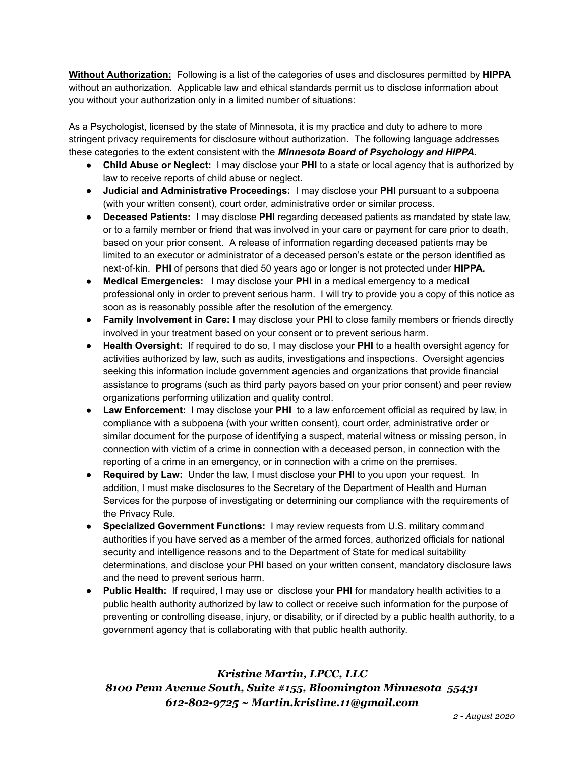**Without Authorization:** Following is a list of the categories of uses and disclosures permitted by **HIPPA**  without an authorization. Applicable law and ethical standards permit us to disclose information about you without your authorization only in a limited number of situations:

As a Psychologist, licensed by the state of Minnesota, it is my practice and duty to adhere to more stringent privacy requirements for disclosure without authorization. The following language addresses these categories to the extent consistent with the *Minnesota Board of Psychology and HIPPA.* 

- **Child Abuse or Neglect:** I may disclose your **PHI** to a state or local agency that is authorized by law to receive reports of child abuse or neglect.
- **Judicial and Administrative Proceedings:** I may disclose your **PHI** pursuant to a subpoena (with your written consent), court order, administrative order or similar process.
- **Deceased Patients:** I may disclose **PHI** regarding deceased patients as mandated by state law, or to a family member or friend that was involved in your care or payment for care prior to death, based on your prior consent. A release of information regarding deceased patients may be limited to an executor or administrator of a deceased person's estate or the person identified as next-of-kin. **PHI** of persons that died 50 years ago or longer is not protected under **HIPPA.**
- **Medical Emergencies:** I may disclose your **PHI** in a medical emergency to a medical professional only in order to prevent serious harm. I will try to provide you a copy of this notice as soon as is reasonably possible after the resolution of the emergency.
- **Family Involvement in Care:** I may disclose your **PHI** to close family members or friends directly involved in your treatment based on your consent or to prevent serious harm.
- **Health Oversight:** If required to do so, I may disclose your **PHI** to a health oversight agency for activities authorized by law, such as audits, investigations and inspections. Oversight agencies seeking this information include government agencies and organizations that provide financial assistance to programs (such as third party payors based on your prior consent) and peer review organizations performing utilization and quality control.
- **Law Enforcement:** I may disclose your **PHI** to a law enforcement official as required by law, in compliance with a subpoena (with your written consent), court order, administrative order or similar document for the purpose of identifying a suspect, material witness or missing person, in connection with victim of a crime in connection with a deceased person, in connection with the reporting of a crime in an emergency, or in connection with a crime on the premises.
- **Required by Law:** Under the law, I must disclose your **PHI** to you upon your request. In addition, I must make disclosures to the Secretary of the Department of Health and Human Services for the purpose of investigating or determining our compliance with the requirements of the Privacy Rule.
- **Specialized Government Functions:** I may review requests from U.S. military command authorities if you have served as a member of the armed forces, authorized officials for national security and intelligence reasons and to the Department of State for medical suitability determinations, and disclose your P **HI** based on your written consent, mandatory disclosure laws and the need to prevent serious harm.
- **Public Health:** If required, I may use or disclose your **PHI** for mandatory health activities to a public health authority authorized by law to collect or receive such information for the purpose of preventing or controlling disease, injury, or disability, or if directed by a public health authority, to a government agency that is collaborating with that public health authority.

# *Kristine Martin, LPCC, LLC 8100 Penn Avenue South, Suite #155, Bloomington Minnesota 55431 612-802-9725 ~ Martin.kristine.11@gmail.com*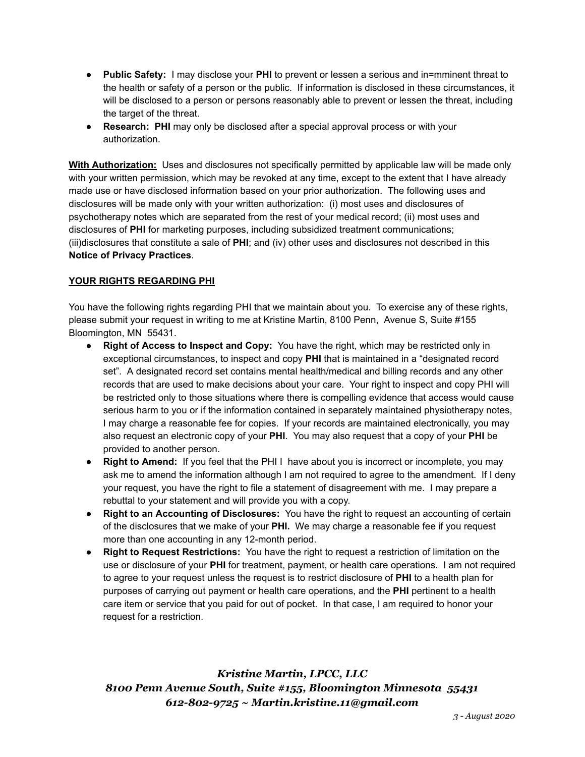- **Public Safety:** I may disclose your **PHI** to prevent or lessen a serious and in=mminent threat to the health or safety of a person or the public. If information is disclosed in these circumstances, it will be disclosed to a person or persons reasonably able to prevent or lessen the threat, including the target of the threat.
- **Research: PHI** may only be disclosed after a special approval process or with your authorization.

**With Authorization:** Uses and disclosures not specifically permitted by applicable law will be made only with your written permission, which may be revoked at any time, except to the extent that I have already made use or have disclosed information based on your prior authorization. The following uses and disclosures will be made only with your written authorization: (i) most uses and disclosures of psychotherapy notes which are separated from the rest of your medical record; (ii) most uses and disclosures of **PHI** for marketing purposes, including subsidized treatment communications; (iii)disclosures that constitute a sale of **PHI** ; and (iv) other uses and disclosures not described in this **Notice of Privacy Practices** .

### **YOUR RIGHTS REGARDING PHI**

You have the following rights regarding PHI that we maintain about you. To exercise any of these rights, please submit your request in writing to me at Kristine Martin, 8100 Penn, Avenue S, Suite #155 Bloomington, MN 55431.

- **Right of Access to Inspect and Copy:** You have the right, which may be restricted only in exceptional circumstances, to inspect and copy **PHI** that is maintained in a "designated record set". A designated record set contains mental health/medical and billing records and any other records that are used to make decisions about your care. Your right to inspect and copy PHI will be restricted only to those situations where there is compelling evidence that access would cause serious harm to you or if the information contained in separately maintained physiotherapy notes, I may charge a reasonable fee for copies. If your records are maintained electronically, you may also request an electronic copy of your **PHI** . You may also request that a copy of your **PHI** be provided to another person.
- **Right to Amend:** If you feel that the PHI I have about you is incorrect or incomplete, you may ask me to amend the information although I am not required to agree to the amendment. If I deny your request, you have the right to file a statement of disagreement with me. I may prepare a rebuttal to your statement and will provide you with a copy.
- **Right to an Accounting of Disclosures:** You have the right to request an accounting of certain of the disclosures that we make of your **PHI.** We may charge a reasonable fee if you request more than one accounting in any 12-month period.
- **Right to Request Restrictions:** You have the right to request a restriction of limitation on the use or disclosure of your **PHI** for treatment, payment, or health care operations. I am not required to agree to your request unless the request is to restrict disclosure of **PHI** to a health plan for purposes of carrying out payment or health care operations, and the **PHI** pertinent to a health care item or service that you paid for out of pocket. In that case, I am required to honor your request for a restriction.

*Kristine Martin, LPCC, LLC 8100 Penn Avenue South, Suite #155, Bloomington Minnesota 55431 612-802-9725 ~ Martin.kristine.11@gmail.com*